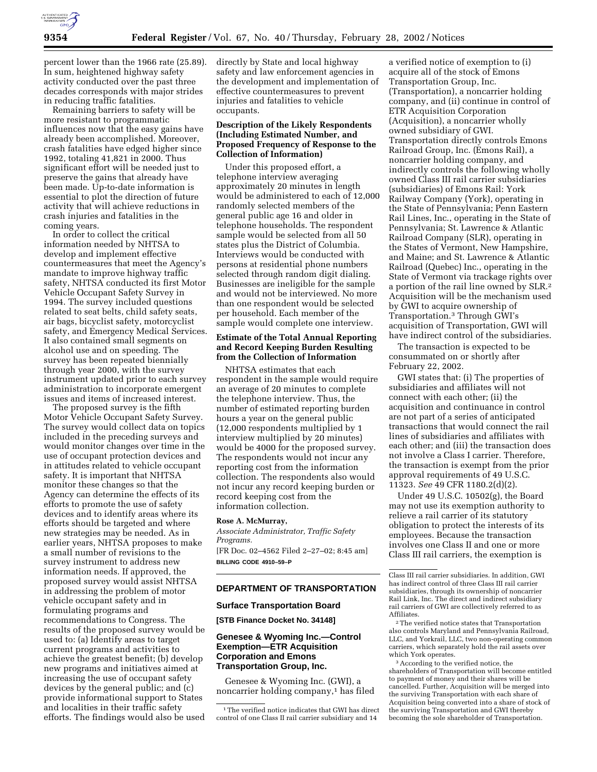

percent lower than the 1966 rate (25.89). In sum, heightened highway safety activity conducted over the past three decades corresponds with major strides in reducing traffic fatalities.

Remaining barriers to safety will be more resistant to programmatic influences now that the easy gains have already been accomplished. Moreover, crash fatalities have edged higher since 1992, totaling 41,821 in 2000. Thus significant effort will be needed just to preserve the gains that already have been made. Up-to-date information is essential to plot the direction of future activity that will achieve reductions in crash injuries and fatalities in the coming years.

In order to collect the critical information needed by NHTSA to develop and implement effective countermeasures that meet the Agency's mandate to improve highway traffic safety, NHTSA conducted its first Motor Vehicle Occupant Safety Survey in 1994. The survey included questions related to seat belts, child safety seats, air bags, bicyclist safety, motorcyclist safety, and Emergency Medical Services. It also contained small segments on alcohol use and on speeding. The survey has been repeated biennially through year 2000, with the survey instrument updated prior to each survey administration to incorporate emergent issues and items of increased interest.

The proposed survey is the fifth Motor Vehicle Occupant Safety Survey. The survey would collect data on topics included in the preceding surveys and would monitor changes over time in the use of occupant protection devices and in attitudes related to vehicle occupant safety. It is important that NHTSA monitor these changes so that the Agency can determine the effects of its efforts to promote the use of safety devices and to identify areas where its efforts should be targeted and where new strategies may be needed. As in earlier years, NHTSA proposes to make a small number of revisions to the survey instrument to address new information needs. If approved, the proposed survey would assist NHTSA in addressing the problem of motor vehicle occupant safety and in formulating programs and recommendations to Congress. The results of the proposed survey would be used to: (a) Identify areas to target current programs and activities to achieve the greatest benefit; (b) develop new programs and initiatives aimed at increasing the use of occupant safety devices by the general public; and (c) provide informational support to States and localities in their traffic safety efforts. The findings would also be used

directly by State and local highway safety and law enforcement agencies in the development and implementation of effective countermeasures to prevent injuries and fatalities to vehicle occupants.

### **Description of the Likely Respondents (Including Estimated Number, and Proposed Frequency of Response to the Collection of Information)**

Under this proposed effort, a telephone interview averaging approximately 20 minutes in length would be administered to each of 12,000 randomly selected members of the general public age 16 and older in telephone households. The respondent sample would be selected from all 50 states plus the District of Columbia. Interviews would be conducted with persons at residential phone numbers selected through random digit dialing. Businesses are ineligible for the sample and would not be interviewed. No more than one respondent would be selected per household. Each member of the sample would complete one interview.

## **Estimate of the Total Annual Reporting and Record Keeping Burden Resulting from the Collection of Information**

NHTSA estimates that each respondent in the sample would require an average of 20 minutes to complete the telephone interview. Thus, the number of estimated reporting burden hours a year on the general public (12,000 respondents multiplied by 1 interview multiplied by 20 minutes) would be 4000 for the proposed survey. The respondents would not incur any reporting cost from the information collection. The respondents also would not incur any record keeping burden or record keeping cost from the information collection.

#### **Rose A. McMurray,**

*Associate Administrator, Traffic Safety Programs.* [FR Doc. 02–4562 Filed 2–27–02; 8:45 am] **BILLING CODE 4910–59–P**

# **DEPARTMENT OF TRANSPORTATION**

### **Surface Transportation Board**

**[STB Finance Docket No. 34148]**

# **Genesee & Wyoming Inc.—Control Exemption—ETR Acquisition Corporation and Emons Transportation Group, Inc.**

Genesee & Wyoming Inc. (GWI), a noncarrier holding company,<sup>1</sup> has filed a verified notice of exemption to (i) acquire all of the stock of Emons Transportation Group, Inc. (Transportation), a noncarrier holding company, and (ii) continue in control of ETR Acquisition Corporation (Acquisition), a noncarrier wholly owned subsidiary of GWI. Transportation directly controls Emons Railroad Group, Inc. (Emons Rail), a noncarrier holding company, and indirectly controls the following wholly owned Class III rail carrier subsidiaries (subsidiaries) of Emons Rail: York Railway Company (York), operating in the State of Pennsylvania; Penn Eastern Rail Lines, Inc., operating in the State of Pennsylvania; St. Lawrence & Atlantic Railroad Company (SLR), operating in the States of Vermont, New Hampshire, and Maine; and St. Lawrence & Atlantic Railroad (Quebec) Inc., operating in the State of Vermont via trackage rights over a portion of the rail line owned by SLR.2 Acquisition will be the mechanism used by GWI to acquire ownership of Transportation.3 Through GWI's acquisition of Transportation, GWI will have indirect control of the subsidiaries.

The transaction is expected to be consummated on or shortly after February 22, 2002.

GWI states that: (i) The properties of subsidiaries and affiliates will not connect with each other; (ii) the acquisition and continuance in control are not part of a series of anticipated transactions that would connect the rail lines of subsidiaries and affiliates with each other; and (iii) the transaction does not involve a Class I carrier. Therefore, the transaction is exempt from the prior approval requirements of 49 U.S.C. 11323. *See* 49 CFR 1180.2(d)(2).

Under 49 U.S.C. 10502(g), the Board may not use its exemption authority to relieve a rail carrier of its statutory obligation to protect the interests of its employees. Because the transaction involves one Class II and one or more Class III rail carriers, the exemption is

2The verified notice states that Transportation also controls Maryland and Pennsylvania Railroad, LLC, and Yorkrail, LLC, two non-operating common carriers, which separately hold the rail assets over which York operates.

3According to the verified notice, the shareholders of Transportation will become entitled to payment of money and their shares will be cancelled. Further, Acquisition will be merged into the surviving Transportation with each share of Acquisition being converted into a share of stock of the surviving Transportation and GWI thereby becoming the sole shareholder of Transportation.

<sup>1</sup>The verified notice indicates that GWI has direct control of one Class II rail carrier subsidiary and 14

Class III rail carrier subsidiaries. In addition, GWI has indirect control of three Class III rail carrier subsidiaries, through its ownership of noncarrier Rail Link, Inc. The direct and indirect subsidiary rail carriers of GWI are collectively referred to as Affiliates.